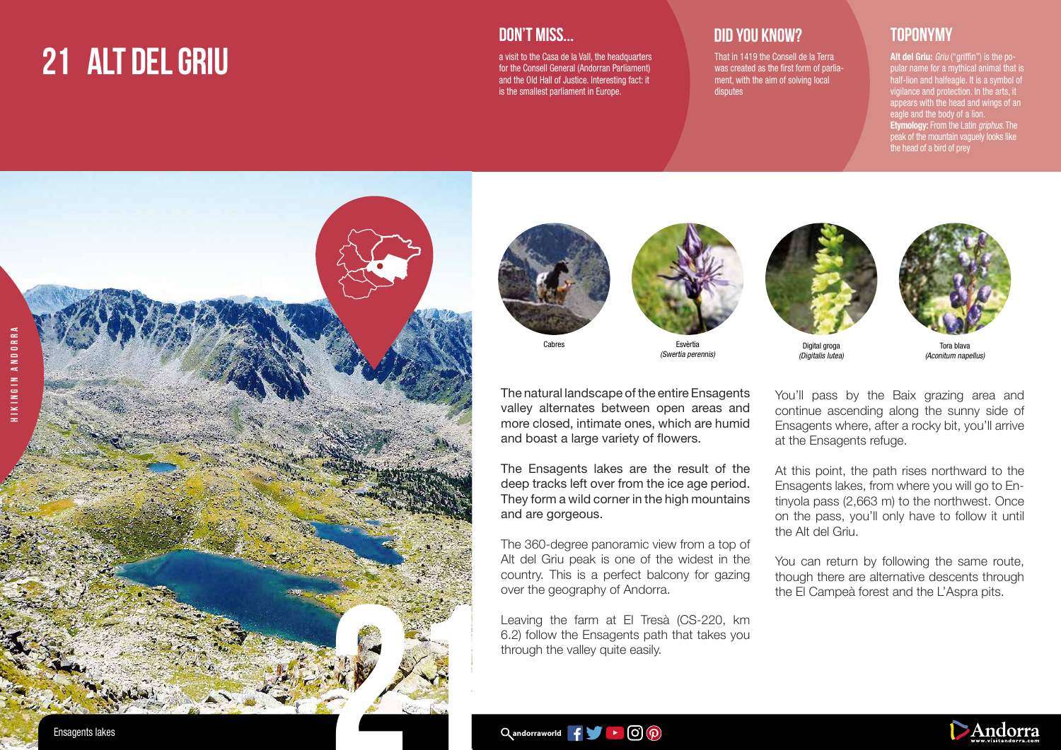# **21 ALT DEL GRIU**

#### **DON'T MISS...**

a visit to the Casa de la Vall, the headquarters for the Consell General (Andorran Parliament) and the Old Hall of Justice. Interesting fact: it is the smallest parliament in Europe.

## **DID YOU KNOW? TOPONYMY**

That in 1419 the Consell de la Terra was created as the first form of parliament, with the aim of solving local disputes

Alt del Griu: Griu ("griffin") is the popular name for a mythical animal that is half-lion and halfeagle. It is a symbol of vigilance and protection. In the arts, it appears with the head and wings of an eagle and the body of a lion. **Etymology:** From the Latin griphus. The peak of the mountain vaguely looks like the head of a bird of prey







Esvèrtia (Swertia perennis)



(Digitalis lutea)



Tora blava (Aconitum napellus)

The natural landscape of the entire Ensagents valley alternates between open areas and more closed, intimate ones, which are humid and boast a large variety of flowers.

The Ensagents lakes are the result of the deep tracks left over from the ice age period. They form a wild corner in the high mountains and are gorgeous.

The 360-degree panoramic view from a top of Alt del Griu peak is one of the widest in the country. This is a perfect balcony for gazing over the geography of Andorra.

Leaving the farm at El Tresà (CS-220, km 6.2) follow the Ensagents path that takes you through the valley quite easily.

You'll pass by the Baix grazing area and continue ascending along the sunny side of Ensagents where, after a rocky bit, you'll arrive at the Ensagents refuge.

At this point, the path rises northward to the Ensagents lakes, from where you will go to Entinyola pass (2,663 m) to the northwest. Once on the pass, you'll only have to follow it until the Alt del Griu.

You can return by following the same route, though there are alternative descents through the El Campeà forest and the L'Aspra pits.

 $\alpha$ andorraworld  $\mathbf{f} = \begin{bmatrix} 1 & 1 \\ 0 & 0 \end{bmatrix}$